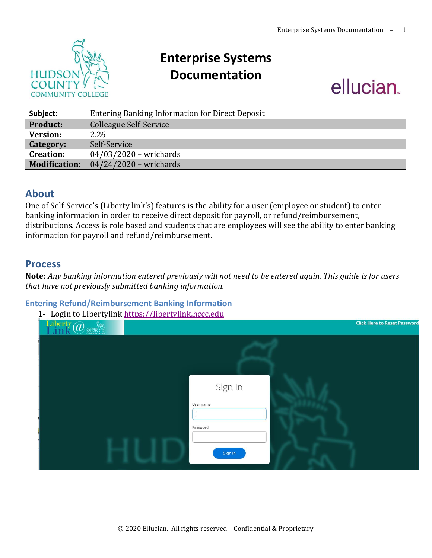

# **Enterprise Systems Documentation**

# ellucian.

<u> Click Here to Reset Password</u>

| Subject:             | <b>Entering Banking Information for Direct Deposit</b> |
|----------------------|--------------------------------------------------------|
| <b>Product:</b>      | <b>Colleague Self-Service</b>                          |
| Version:             | 2.26                                                   |
| Category:            | Self-Service                                           |
| <b>Creation:</b>     | $04/03/2020$ – wrichards                               |
| <b>Modification:</b> | $04/24/2020$ – wrichards                               |

## **About**

One of Self-Service's (Liberty link's) features is the ability for a user (employee or student) to enter banking information in order to receive direct deposit for payroll, or refund/reimbursement, distributions. Access is role based and students that are employees will see the ability to enter banking information for payroll and refund/reimbursement.

## **Process**

**Note:** *Any banking information entered previously will not need to be entered again. This guide is for users that have not previously submitted banking information.* 

#### **Entering Refund/Reimbursement Banking Information**

| tering Refund/Reimbursement Banking Information<br>1- Login to Libertylink https://libertylink.hccc.edu |
|---------------------------------------------------------------------------------------------------------|
| Liberty $\widehat{a}$                                                                                   |
|                                                                                                         |
|                                                                                                         |
| Sign In                                                                                                 |
| User name                                                                                               |
| Password                                                                                                |

Sign In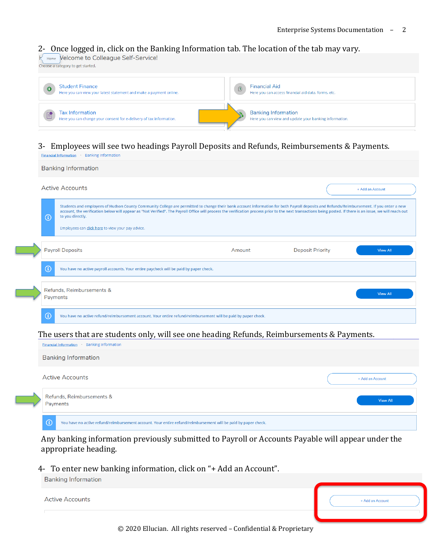#### 2- Once logged in, click on the Banking Information tab. The location of the tab may vary.

K Home Velcome to Colleague Self-Service! Choose a category to get started.

| $\bullet$ | <b>Student Finance</b><br>Here you can view your latest statement and make a payment online.  | $\circledB$ | <b>Financial Aid</b><br>Here you can access financial aid data, forms, etc.          |
|-----------|-----------------------------------------------------------------------------------------------|-------------|--------------------------------------------------------------------------------------|
|           | <b>Tax Information</b><br>Here you can change your consent for e-delivery of tax information. |             | <b>Banking Information</b><br>Here you can view and update your banking information. |

#### 3- Employees will see two headings Payroll Deposits and Refunds, Reimbursements & Payments.

| <b>Banking Information</b>                                                                                                                                                                                                                                                                                                                                                                                                        |        |                         |                  |
|-----------------------------------------------------------------------------------------------------------------------------------------------------------------------------------------------------------------------------------------------------------------------------------------------------------------------------------------------------------------------------------------------------------------------------------|--------|-------------------------|------------------|
| <b>Active Accounts</b>                                                                                                                                                                                                                                                                                                                                                                                                            |        |                         | + Add an Account |
| Students and employees of Hudson County Community College are permitted to change their bank account information for both Payroll deposits and Refunds/Reimbursement. If you enter a new<br>account, the verification below will appear as "Not Verified". The Payroll Office will process the verification process prior to the next transactions being posted. If there is an issue, we will reach out<br>to you directly.<br>Œ |        |                         |                  |
| Employees can click here to view your pay advice.                                                                                                                                                                                                                                                                                                                                                                                 |        |                         |                  |
| <b>Payroll Deposits</b>                                                                                                                                                                                                                                                                                                                                                                                                           | Amount | <b>Deposit Priority</b> | <b>View All</b>  |
| Œ<br>You have no active payroll accounts. Your entire paycheck will be paid by paper check.                                                                                                                                                                                                                                                                                                                                       |        |                         |                  |
| Refunds, Reimbursements &<br>Payments                                                                                                                                                                                                                                                                                                                                                                                             |        |                         | <b>View All</b>  |
| G<br>You have no active refund/reimbursement account. Your entire refund/reimbursement will be paid by paper check.                                                                                                                                                                                                                                                                                                               |        |                         |                  |



Any banking information previously submitted to Payroll or Accounts Payable will appear under the appropriate heading.

#### 4- To enter new banking information, click on "+ Add an Account".

| Banking Information    |                  |
|------------------------|------------------|
| <b>Active Accounts</b> | + Add an Account |
|                        |                  |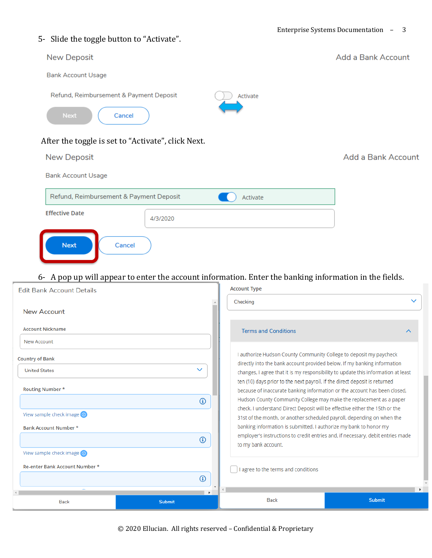#### 5- Slide the toggle button to "Activate".

**Country of Bank** 

**United States** 

Routing Number \*

View sample check image @

View sample check image @

Re-enter Bank Account Number \*

Back

Bank Account Number \*

# Add a Bank Account **New Deposit Bank Account Usage** Refund, Reimbursement & Payment Deposit Activate Next Cancel After the toggle is set to "Activate", click Next. **New Deposit** Add a Bank Account **Bank Account Usage** Refund, Reimbursement & Payment Deposit Activate **Effective Date** 4/3/2020 **Next** Cancel 6- A pop up will appear to enter the account information. Enter the banking information in the fields.**Account Type Edit Bank Account Details** Checking **New Account Account Nickname Terms and Conditions** New Account

I authorize Hudson County Community College to deposit my paycheck directly into the bank account provided below. If my banking information changes, I agree that it is my responsibility to update this information at least ten (10) days prior to the next payroll. If the direct deposit is returned because of inaccurate banking information or the account has been closed, Hudson County Community College may make the replacement as a paper check. I understand Direct Deposit will be effective either the 15th or the 31st of the month, or another scheduled payroll, depending on when the banking information is submitted. I authorize my bank to honor my employer's instructions to credit entries and, if necessary, debit entries made to my bank account.

Submit

I agree to the terms and conditions

**Back** 

© 2020 Ellucian. All rights reserved – Confidential & Proprietary

 $\Omega$ 

 $\Omega$ 

 $\odot$ 

Submit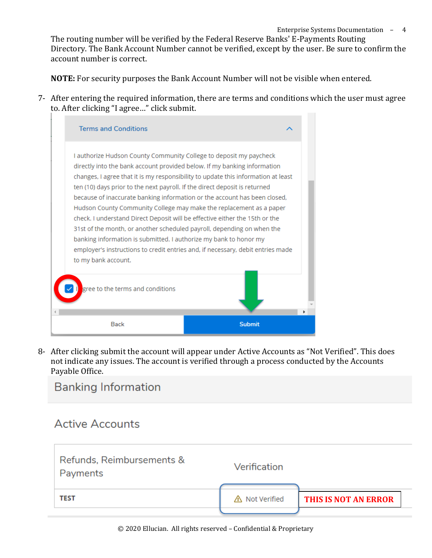The routing number will be verified by the Federal Reserve Banks' E-Payments Routing Directory. The Bank Account Number cannot be verified, except by the user. Be sure to confirm the account number is correct.

**NOTE:** For security purposes the Bank Account Number will not be visible when entered.

7- After entering the required information, there are terms and conditions which the user must agree to. After clicking "I agree…" click submit.



8- After clicking submit the account will appear under Active Accounts as "Not Verified". This does not indicate any issues. The account is verified through a process conducted by the Accounts Payable Office.

# **Banking Information**

# **Active Accounts**

| Refunds, Reimbursements &<br>Payments | Verification   |                      |
|---------------------------------------|----------------|----------------------|
| TEST                                  | △ Not Verified | THIS IS NOT AN ERROR |